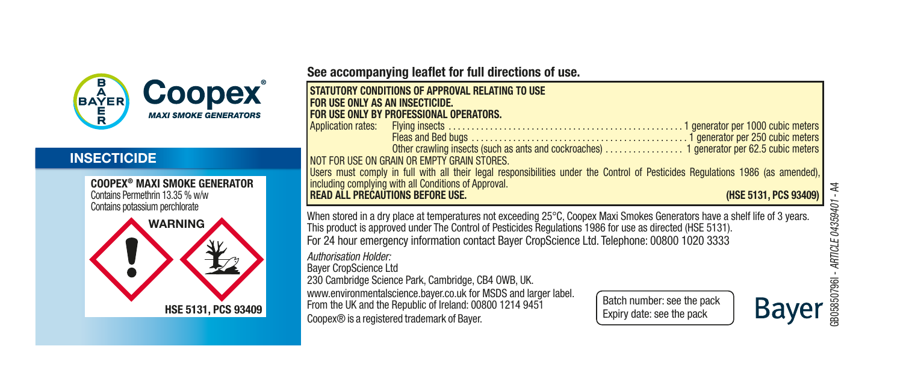

#### **INSECTICIDE**

COOPEX® MAXI SMOKE GENERATOR Contains Permethrin 13.35 % w/w Contains potassium perchlorate



See accompanying leaflet for full directions of use.

| STATUTORY CONDITIONS OF APPROVAL RELATING TO USE<br>FOR USE ONLY AS AN INSECTICIDE.<br>FOR USE ONLY BY PROFESSIONAL OPERATORS.<br>NOT FOR USE ON GRAIN OR EMPTY GRAIN STORES.<br>Users must comply in full with all their legal responsibilities under the Control of Pesticides Regulations 1986 (as amended),<br>including complying with all Conditions of Approval.<br><b>READ ALL PRECAUTIONS BEFORE USE.</b><br>(HSE 5131, PCS 93409)                                                                                                             |
|---------------------------------------------------------------------------------------------------------------------------------------------------------------------------------------------------------------------------------------------------------------------------------------------------------------------------------------------------------------------------------------------------------------------------------------------------------------------------------------------------------------------------------------------------------|
| When stored in a dry place at temperatures not exceeding 25°C, Coopex Maxi Smokes Generators have a shelf life of 3 years.<br>This product is approved under The Control of Pesticides Regulations 1986 for use as directed (HSE 5131).<br>For 24 hour emergency information contact Bayer CropScience Ltd. Telephone: 00800 1020 3333<br>Authorisation Holder:<br><b>Baver CropScience Ltd</b><br>230 Cambridge Science Park, Cambridge, CB4 OWB, UK.<br>www.environmentalscience.baver.co.uk for MSDS and larger label.<br>Batch number: see the pack |
| From the UK and the Republic of Ireland: 00800 1214 9451<br>Ba<br>Expiry date: see the pack<br>Coopex® is a registered trademark of Bayer.                                                                                                                                                                                                                                                                                                                                                                                                              |

 $\overline{a}$ GB05850796I - *ARTICLE 04359401* - A4 ARTICLE 04359401 1805850796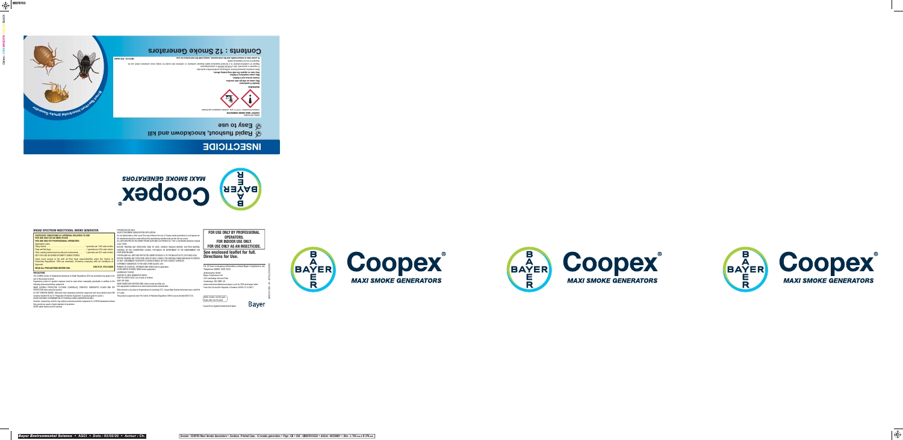# **INSECTICIDE**



**STATUTORY CONDITIONS OF APPROVAL RELATING TO USE FOR USE ONLY AS AN INSECTICIDE FOR USE ONLY BY PROFESSIONAL OPERATORS** Application rates:<br>Flying insects ...... Flying insects . . . . . . . . . . . . . . . . . . . . . . . . . . . . . . . . . . . . . . . 1 generator per 1000 cubic meters **FOR USE ONLY AS AN INSECTICIDE.** order (1985). BEFORE TREATING ANY STRUCTURE USED BY BATS, CONSULT ENGLISH NATURE, SCOTTISH NATURAL Fleas and Bed bugs ………………………………………1 generator per 250 cubic meters | HERITAGE OR THE COUNTRYSIDE COUNCIL FOR WALES OR DEPARTMENT OF THE ENVIRONMENT FOR Other crawling insects (such as ants and cockroaches) . . . . . . . 1 generator per 62.5 cubic meters NOT FOR USE ON GRAIN OR EMPTY GRAIN STORES. Users must comply in full with all their legal responsibilities under the Control of Pesticides Regulations 1986 (as amended), including complying with all Conditions of Approval. **READ ALL PRECAUTIONS BEFORE USE.**

**BROAD SPECTRUM INSECTICIDAL SMOKE GENERATOR.** 







**Bayer** 





**See enclosed leaflet for full.**

| <b>Directions for Use.</b>                                                                     |
|------------------------------------------------------------------------------------------------|
| For 24 hour emergency information contact Bayer CropScience Ltd.<br>Telephone: 00800 1020 3333 |
| Authorisation Holder:<br><b>Baver CropScience Ltd</b>                                          |
| 230 Cambridge Science Park<br>Cambridge, CB4 OWB, UK                                           |
| www.environmentalscience.bayer.co.uk for SDS and larger label.                                 |

From the UK and the Republic of Ireland: 00800 1214 9451

**FOR USE ONLY BY PROFESSIONAL OPERATORS. FOR INDOOR USE ONLY.**

**PRECAUTIONS** The (COSHH) Control of Substances Hazardous to Health Regulations 2002 (as amended) may apply to the use of this product at work.

Engineering control of operator exposure must be used where reasonably practicable in addition to the KEEP OFF SKIN.<br>following personal protective equipment:

**HSE 5131, PCS 93409 PREMOVE OR COVER ALL FISHTANKS AND BOWLS before application.<br>COVER WATER STORAGE TANKS before application.<br>HAZARDOUS TO BEES.** PROTECTION when using the product.<br>DO NOT BREATHE SMOKE. Otherwise wear respiratory protective equipment and eye protection (see HSE of 3 years. NORTHERN IRELAND. FOR IRELAND: ALL BATS ARE PROTECTED UNDER SCHEDULE 5 OF THE WILDLIFE ACTS (1976 AND 2000). BEFORE TREATING ANY STRUCTURE USED BY BATS, CONSULT THE NATIONAL PARKS AND WILDLIFE SERVICE.<br>DO NOT CONTAMINATE FOODSTUFFS, EATING UTENSILS OR FOOD CONTACT SURFACES. EXTREMELY DANGEROUS TO FISH AND OTHER AQUATIC LIFE. DISPOSE OF USED GENERATOR SAFELY. KEEP IN A SAFE PLACE, out of reach of children

Guidance Booklet HS (G) 53 "Respiratory Protective Equipment- A practical guide for users").

AVOID EXCESSIVE CONTAMINATION OF COVERALLS AND LAUNDER REGULARLY. However, engineering controls may replace personal protective equipment if a COSHH assessment shows

they provide an equal or higher standard of protection. AVOID naked flames and hot surfaces.



FOR INDOOR USE ONLY:

VACATE TREATMENT AREAS BEFORE APPLICATION.

This product is approved under The Control of Pesticides Regulations 1986 for use as directed (HSE 5131). This product is approved under The Control of Pesticides Regulations 1986 for use as directed (HSE 5131).

Coopex® is a registered trademark of Bayer. Expiry date: see the pack





Do not disturb bats or their roost. This may influence the use of Coopex smoke generators in roof spaces etc. No treatments should be made without first ascertaining whether bats use the site as a roost. ALL BATS ARE PROTECTED UNDER THE WILDLIFE AND COUTRYSIDE ACT 1981 or the Wildlife (Northern Ireland)

following personal protective equipment: WEAR SUITABLE PROTECTIVE CLOTHING (COVERALLS), SYNTHETIC RUBBER/PVC GLOVES AND EYE Use appropriate containment to avoid environmental contamination.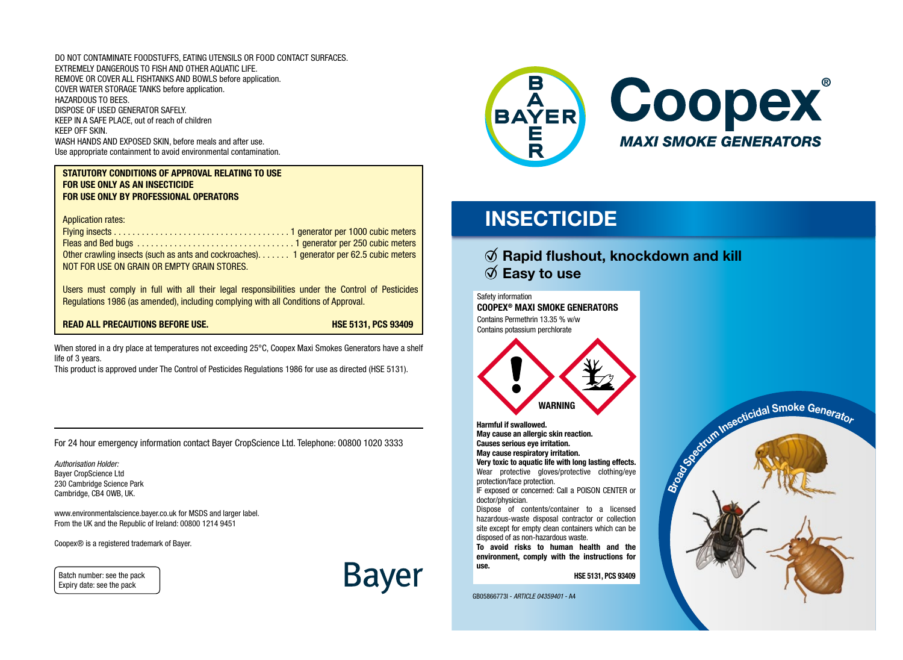DO NOT CONTAMINATE FOODSTUFFS, EATING UTENSILS OR FOOD CONTACT SURFACES. EXTREMELY DANGEROUS TO FISH AND OTHER AQUATIC LIFE. REMOVE OR COVER ALL FISHTANKS AND BOWLS before application. COVER WATER STORAGE TANKS before application. HAZARDOUS TO BEES. DISPOSE OF USED GENERATOR SAFELY. KEEP IN A SAFE PLACE, out of reach of children KEEP OFF SKIN. WASH HANDS AND EXPOSED SKIN, before meals and after use. Use appropriate containment to avoid environmental contamination.

#### STATUTORY CONDITIONS OF APPROVAL RELATING TO USE FOR USE ONLY AS AN INSECTICIDE FOR USE ONLY BY PROFESSIONAL OPERATORS

Application rates:

Flying insects . . . . . . . . . . . . . . . . . . . . . . . . . . . . . . . . . . . . . . 1 generator per 1000 cubic meters Fleas and Bed bugs . . . . . . . . . . . . . . . . . . . . . . . . . . . . . . . . . . 1 generator per 250 cubic meters Other crawling insects (such as ants and cockroaches)....... 1 generator per 62.5 cubic meters NOT FOR USE ON GRAIN OR EMPTY GRAIN STORES.

Users must comply in full with all their legal responsibilities under the Control of Pesticides Regulations 1986 (as amended), including complying with all Conditions of Approval.

READ ALL PRECAUTIONS BEFORE USE. HSE 5131, PCS 93409

When stored in a dry place at temperatures not exceeding 25°C, Coopex Maxi Smokes Generators have a shelf life of 3 years.

This product is approved under The Control of Pesticides Regulations 1986 for use as directed (HSE 5131).

For 24 hour emergency information contact Bayer CropScience Ltd. Telephone: 00800 1020 3333

*Authorisation Holder:* Bayer CropScience Ltd 230 Cambridge Science Park Cambridge, CB4 OWB, UK.

www.environmentalscience.bayer.co.uk for MSDS and larger label. From the UK and the Republic of Ireland: 00800 1214 9451

Coopex® is a registered trademark of Bayer.

Batch number: see the pack Expiry date: see the pack





# **INSECTICIDE**

### $\emptyset$  Rapid flushout, knockdown and kill  $\emptyset$  Easy to use

Safety information COOPEX® MAXI SMOKE GENERATORS Contains Permethrin 13.35 % w/w Contains potassium perchlorate



Harmful if swallowed. May cause an allergic skin reaction. Causes serious eye irritation. May cause respiratory irritation.

Very toxic to aquatic life with long lasting effects. Wear protective gloves/protective clothing/eye protection/face protection.

IF exposed or concerned: Call a POISON CENTER or doctor/physician.

Dispose of contents/container to a licensed hazardous-waste disposal contractor or collection site except for empty clean containers which can be disposed of as non-hazardous waste.

To avoid risks to human health and the environment, comply with the instructions for use.

HSE 5131, PCS 93409

GB05866773I - *ARTICLE 04359401* - A4

Broad Smoke Generator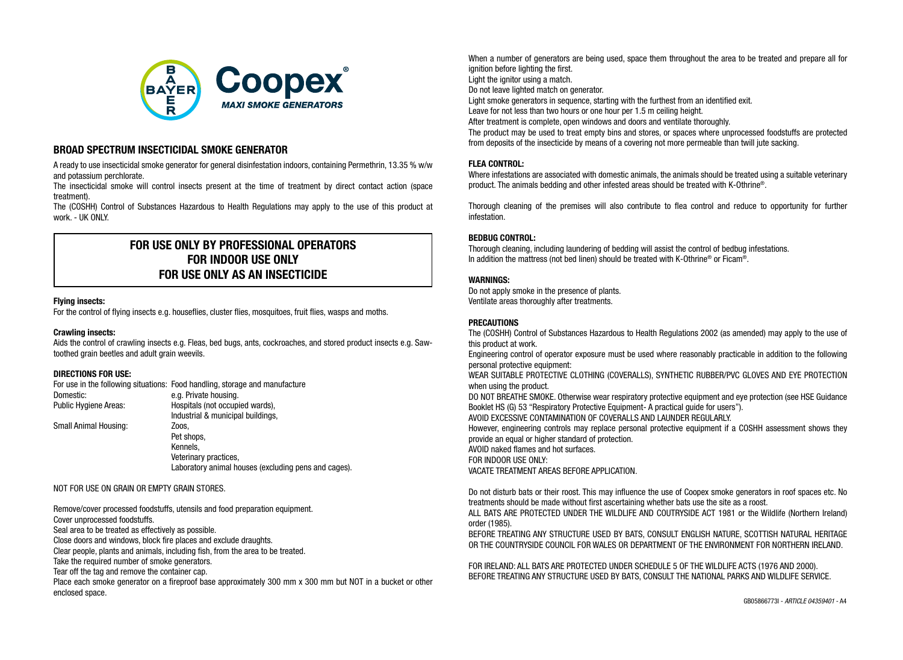

#### BROAD SPECTRUM INSECTICIDAL SMOKE GENERATOR

A ready to use insecticidal smoke generator for general disinfestation indoors, containing Permethrin, 13.35 % w/w and potassium perchlorate.

The insecticidal smoke will control insects present at the time of treatment by direct contact action (space treatment).

The (COSHH) Control of Substances Hazardous to Health Regulations may apply to the use of this product at work. - UK ONLY.

### FOR USE ONLY BY PROFESSIONAL OPERATORS FOR INDOOR USE ONLY FOR USE ONLY AS AN INSECTICIDE

#### Flying insects:

For the control of flying insects e.g. houseflies, cluster flies, mosquitoes, fruit flies, wasps and moths.

#### Crawling insects:

Aids the control of crawling insects e.g. Fleas, bed bugs, ants, cockroaches, and stored product insects e.g. Sawtoothed grain beetles and adult grain weevils.

#### DIRECTIONS FOR USE:

For use in the following situations: Food handling, storage and manufacture Domestic: e.g. Private housing. Public Hygiene Areas: Hospitals (not occupied wards), Industrial & municipal buildings, Small Animal Housing: The Management Coos, Pet shops, Kennels, Veterinary practices, Laboratory animal houses (excluding pens and cages).

NOT FOR USE ON GRAIN OR EMPTY GRAIN STORES.

Remove/cover processed foodstuffs, utensils and food preparation equipment. Cover unprocessed foodstuffs.

Seal area to be treated as effectively as possible.

Close doors and windows, block fire places and exclude draughts.

Clear people, plants and animals, including fish, from the area to be treated.

Take the required number of smoke generators.

Tear off the tag and remove the container cap.

Place each smoke generator on a fireproof base approximately 300 mm x 300 mm but NOT in a bucket or other enclosed space.

When a number of generators are being used, space them throughout the area to be treated and prepare all for ignition before lighting the first.

Light the ignitor using a match.

Do not leave lighted match on generator.

Light smoke generators in sequence, starting with the furthest from an identified exit.

Leave for not less than two hours or one hour per 1.5 m ceiling height.

After treatment is complete, open windows and doors and ventilate thoroughly.

The product may be used to treat empty bins and stores, or spaces where unprocessed foodstuffs are protected from deposits of the insecticide by means of a covering not more permeable than twill jute sacking.

#### FLEA CONTROL:

Where infestations are associated with domestic animals, the animals should be treated using a suitable veterinary product. The animals bedding and other infested areas should be treated with K-Othrine®.

Thorough cleaning of the premises will also contribute to flea control and reduce to opportunity for further infestation.

#### BEDBUG CONTROL:

Thorough cleaning, including laundering of bedding will assist the control of bedbug infestations. In addition the mattress (not bed linen) should be treated with K-Othrine® or Ficam®.

#### WARNINGS:

Do not apply smoke in the presence of plants. Ventilate areas thoroughly after treatments.

#### **PRECAUTIONS**

The (COSHH) Control of Substances Hazardous to Health Regulations 2002 (as amended) may apply to the use of this product at work.

Engineering control of operator exposure must be used where reasonably practicable in addition to the following personal protective equipment:

WEAR SUITABLE PROTECTIVE CLOTHING (COVERALLS), SYNTHETIC RUBBER/PVC GLOVES AND EYE PROTECTION when using the product.

DO NOT BREATHE SMOKE. Otherwise wear respiratory protective equipment and eye protection (see HSE Guidance Booklet HS (G) 53 "Respiratory Protective Equipment- A practical quide for users").

AVOID EXCESSIVE CONTAMINATION OF COVERALLS AND LAUNDER REGULARLY.

However, engineering controls may replace personal protective equipment if a COSHH assessment shows they provide an equal or higher standard of protection.

AVOID naked flames and hot surfaces.

FOR INDOOR USE ONLY:

VACATE TREATMENT AREAS BEFORE APPLICATION.

Do not disturb bats or their roost. This may influence the use of Coopex smoke generators in roof spaces etc. No treatments should be made without first ascertaining whether bats use the site as a roost.

ALL BATS ARE PROTECTED UNDER THE WILDLIFE AND COUTRYSIDE ACT 1981 or the Wildlife (Northern Ireland) order (1985).

BEFORE TREATING ANY STRUCTURE USED BY BATS, CONSULT ENGLISH NATURE, SCOTTISH NATURAL HERITAGE OR THE COUNTRYSIDE COUNCIL FOR WALES OR DEPARTMENT OF THE ENVIRONMENT FOR NORTHERN IRELAND.

FOR IRELAND: ALL BATS ARE PROTECTED UNDER SCHEDULE 5 OF THE WILDLIFE ACTS (1976 AND 2000). BEFORE TREATING ANY STRUCTURE USED BY BATS, CONSULT THE NATIONAL PARKS AND WILDLIFE SERVICE.